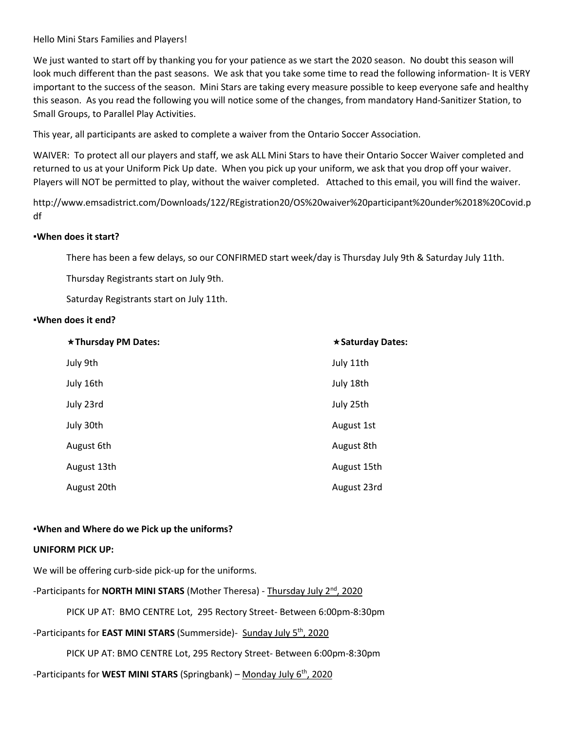Hello Mini Stars Families and Players!

We just wanted to start off by thanking you for your patience as we start the 2020 season. No doubt this season will look much different than the past seasons. We ask that you take some time to read the following information- It is VERY important to the success of the season. Mini Stars are taking every measure possible to keep everyone safe and healthy this season. As you read the following you will notice some of the changes, from mandatory Hand-Sanitizer Station, to Small Groups, to Parallel Play Activities.

This year, all participants are asked to complete a waiver from the Ontario Soccer Association.

WAIVER: To protect all our players and staff, we ask ALL Mini Stars to have their Ontario Soccer Waiver completed and returned to us at your Uniform Pick Up date. When you pick up your uniform, we ask that you drop off your waiver. Players will NOT be permitted to play, without the waiver completed. Attached to this email, you will find the waiver.

http://www.emsadistrict.com/Downloads/122/REgistration20/OS%20waiver%20participant%20under%2018%20Covid.p df

#### **▪When does it start?**

There has been a few delays, so our CONFIRMED start week/day is Thursday July 9th & Saturday July 11th.

Thursday Registrants start on July 9th.

Saturday Registrants start on July 11th.

#### **▪When does it end?**

| *Thursday PM Dates: | * Saturday Dates: |
|---------------------|-------------------|
| July 9th            | July 11th         |
| July 16th           | July 18th         |
| July 23rd           | July 25th         |
| July 30th           | August 1st        |
| August 6th          | August 8th        |
| August 13th         | August 15th       |
| August 20th         | August 23rd       |

#### **▪When and Where do we Pick up the uniforms?**

#### **UNIFORM PICK UP:**

We will be offering curb-side pick-up for the uniforms.

-Participants for **NORTH MINI STARS** (Mother Theresa) - Thursday July 2<sup>nd</sup>, 2020

PICK UP AT: BMO CENTRE Lot, 295 Rectory Street- Between 6:00pm-8:30pm

## -Participants for **EAST MINI STARS** (Summerside)- Sunday July 5th, 2020

PICK UP AT: BMO CENTRE Lot, 295 Rectory Street- Between 6:00pm-8:30pm

-Participants for **WEST MINI STARS** (Springbank) – Monday July 6th, 2020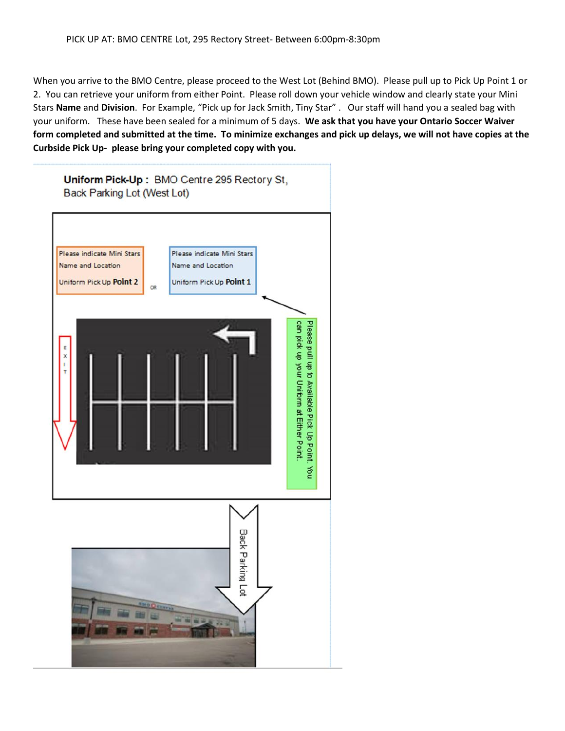When you arrive to the BMO Centre, please proceed to the West Lot (Behind BMO). Please pull up to Pick Up Point 1 or 2. You can retrieve your uniform from either Point. Please roll down your vehicle window and clearly state your Mini Stars **Name** and **Division**. For Example, "Pick up for Jack Smith, Tiny Star" . Our staff will hand you a sealed bag with your uniform. These have been sealed for a minimum of 5 days. **We ask that you have your Ontario Soccer Waiver form completed and submitted at the time. To minimize exchanges and pick up delays, we will not have copies at the Curbside Pick Up- please bring your completed copy with you.**

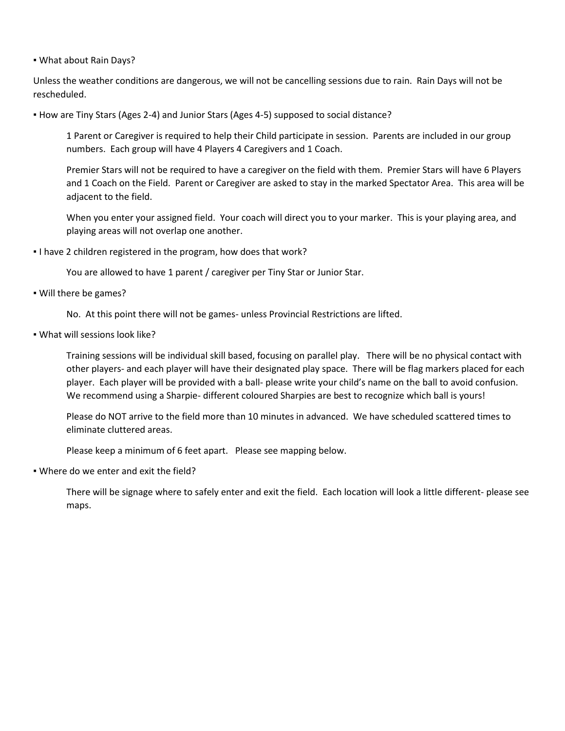▪ What about Rain Days?

Unless the weather conditions are dangerous, we will not be cancelling sessions due to rain. Rain Days will not be rescheduled.

▪ How are Tiny Stars (Ages 2-4) and Junior Stars (Ages 4-5) supposed to social distance?

1 Parent or Caregiver is required to help their Child participate in session. Parents are included in our group numbers. Each group will have 4 Players 4 Caregivers and 1 Coach.

Premier Stars will not be required to have a caregiver on the field with them. Premier Stars will have 6 Players and 1 Coach on the Field. Parent or Caregiver are asked to stay in the marked Spectator Area. This area will be adjacent to the field.

When you enter your assigned field. Your coach will direct you to your marker. This is your playing area, and playing areas will not overlap one another.

▪ I have 2 children registered in the program, how does that work?

You are allowed to have 1 parent / caregiver per Tiny Star or Junior Star.

▪ Will there be games?

No. At this point there will not be games- unless Provincial Restrictions are lifted.

▪ What will sessions look like?

Training sessions will be individual skill based, focusing on parallel play. There will be no physical contact with other players- and each player will have their designated play space. There will be flag markers placed for each player. Each player will be provided with a ball- please write your child's name on the ball to avoid confusion. We recommend using a Sharpie- different coloured Sharpies are best to recognize which ball is yours!

Please do NOT arrive to the field more than 10 minutes in advanced. We have scheduled scattered times to eliminate cluttered areas.

Please keep a minimum of 6 feet apart. Please see mapping below.

▪ Where do we enter and exit the field?

There will be signage where to safely enter and exit the field. Each location will look a little different- please see maps.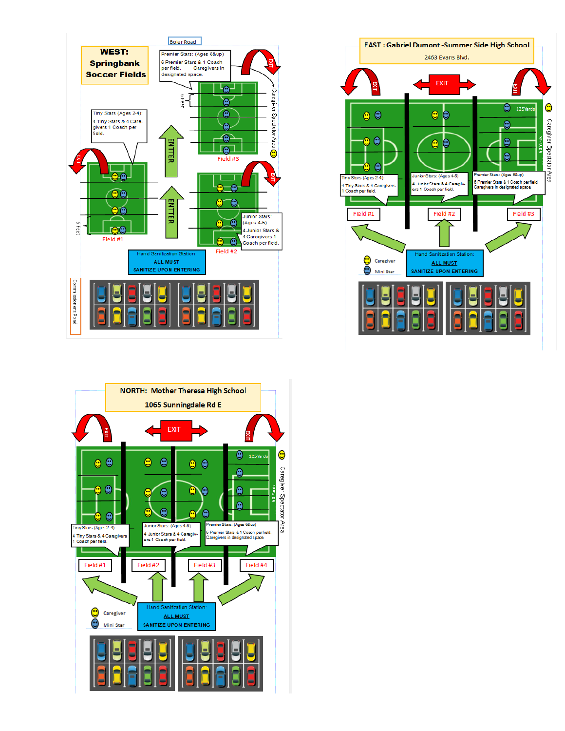